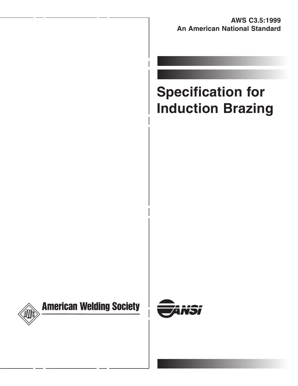**AWS C3.5:1999 An American National Standard**

# **Specification for Induction Brazing**



# **American Welding Society**

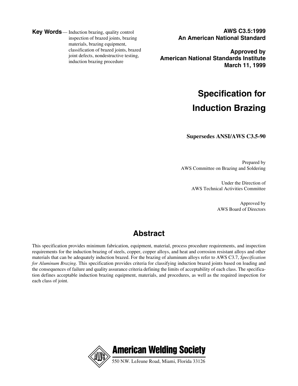**Key Words**— Induction brazing, quality control inspection of brazed joints, brazing materials, brazing equipment, classification of brazed joints, brazed joint defects, nondestructive testing, induction brazing procedure

**AWS C3.5:1999 An American National Standard**

**Approved by American National Standards Institute March 11, 1999**

## **Specification for Induction Brazing**

**Supersedes ANSI/AWS C3.5-90**

Prepared by AWS Committee on Brazing and Soldering

> Under the Direction of AWS Technical Activities Committee

> > Approved by AWS Board of Directors

### **Abstract**

This specification provides minimum fabrication, equipment, material, process procedure requirements, and inspection requirements for the induction brazing of steels, copper, copper alloys, and heat and corrosion resistant alloys and other materials that can be adequately induction brazed. For the brazing of aluminum alloys refer to AWS C3.7, *Specification for Aluminum Brazing.* This specification provides criteria for classifying induction brazed joints based on loading and the consequences of failure and quality assurance criteria defining the limits of acceptability of each class. The specification defines acceptable induction brazing equipment, materials, and procedures, as well as the required inspection for each class of joint.

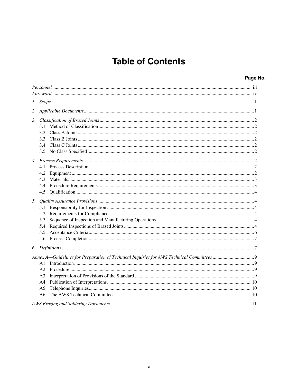### **Table of Contents**

| Page No. |  |
|----------|--|
|----------|--|

| 3. | 3.1<br>3.2<br>3.3<br>3.4<br>3.5 |  |
|----|---------------------------------|--|
|    | 4.1<br>4.2<br>4.3<br>4.4<br>4.5 |  |
| 5. | 5.1<br>5.2<br>5.3<br>5.4<br>5.5 |  |
|    |                                 |  |
|    |                                 |  |
|    |                                 |  |